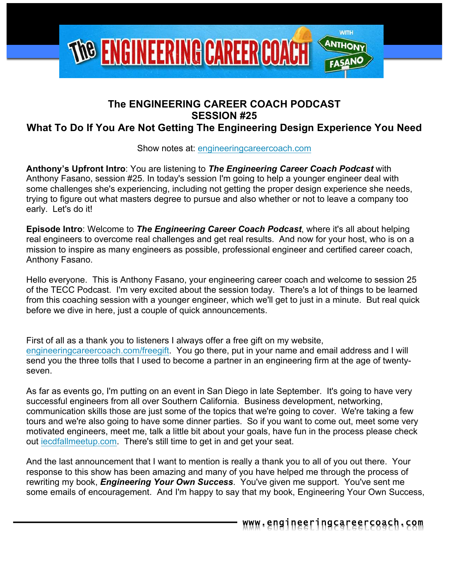

# **The ENGINEERING CAREER COACH PODCAST SESSION #25**

# **What To Do If You Are Not Getting The Engineering Design Experience You Need**

Show notes at: engineeringcareercoach.com

**Anthony's Upfront Intro**: You are listening to *The Engineering Career Coach Podcast* with Anthony Fasano, session #25. In today's session I'm going to help a younger engineer deal with some challenges she's experiencing, including not getting the proper design experience she needs, trying to figure out what masters degree to pursue and also whether or not to leave a company too early. Let's do it!

**Episode Intro**: Welcome to *The Engineering Career Coach Podcast*, where it's all about helping real engineers to overcome real challenges and get real results. And now for your host, who is on a mission to inspire as many engineers as possible, professional engineer and certified career coach, Anthony Fasano.

Hello everyone. This is Anthony Fasano, your engineering career coach and welcome to session 25 of the TECC Podcast. I'm very excited about the session today. There's a lot of things to be learned from this coaching session with a younger engineer, which we'll get to just in a minute. But real quick before we dive in here, just a couple of quick announcements.

First of all as a thank you to listeners I always offer a free gift on my website, engineeringcareercoach.com/freegift. You go there, put in your name and email address and I will send you the three tolls that I used to become a partner in an engineering firm at the age of twentyseven.

As far as events go, I'm putting on an event in San Diego in late September. It's going to have very successful engineers from all over Southern California. Business development, networking, communication skills those are just some of the topics that we're going to cover. We're taking a few tours and we're also going to have some dinner parties. So if you want to come out, meet some very motivated engineers, meet me, talk a little bit about your goals, have fun in the process please check out iecdfallmeetup.com. There's still time to get in and get your seat.

And the last announcement that I want to mention is really a thank you to all of you out there. Your response to this show has been amazing and many of you have helped me through the process of rewriting my book, *Engineering Your Own Success*. You've given me support. You've sent me some emails of encouragement. And I'm happy to say that my book, Engineering Your Own Success,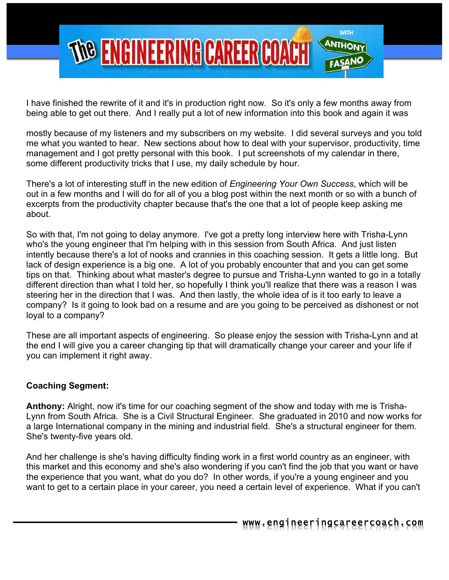

I have finished the rewrite of it and it's in production right now. So it's only a few months away from being able to get out there. And I really put a lot of new information into this book and again it was

mostly because of my listeners and my subscribers on my website. I did several surveys and you told me what you wanted to hear. New sections about how to deal with your supervisor, productivity, time management and I got pretty personal with this book. I put screenshots of my calendar in there, some different productivity tricks that I use, my daily schedule by hour.

There's a lot of interesting stuff in the new edition of *Engineering Your Own Success*, which will be out in a few months and I will do for all of you a blog post within the next month or so with a bunch of excerpts from the productivity chapter because that's the one that a lot of people keep asking me about.

So with that, I'm not going to delay anymore. I've got a pretty long interview here with Trisha-Lynn who's the young engineer that I'm helping with in this session from South Africa. And just listen intently because there's a lot of nooks and crannies in this coaching session. It gets a little long. But lack of design experience is a big one. A lot of you probably encounter that and you can get some tips on that. Thinking about what master's degree to pursue and Trisha-Lynn wanted to go in a totally different direction than what I told her, so hopefully I think you'll realize that there was a reason I was steering her in the direction that I was. And then lastly, the whole idea of is it too early to leave a company? Is it going to look bad on a resume and are you going to be perceived as dishonest or not loyal to a company?

These are all important aspects of engineering. So please enjoy the session with Trisha-Lynn and at the end I will give you a career changing tip that will dramatically change your career and your life if you can implement it right away.

## **Coaching Segment:**

**Anthony:** Alright, now it's time for our coaching segment of the show and today with me is Trisha-Lynn from South Africa. She is a Civil Structural Engineer. She graduated in 2010 and now works for a large International company in the mining and industrial field. She's a structural engineer for them. She's twenty-five years old.

And her challenge is she's having difficulty finding work in a first world country as an engineer, with this market and this economy and she's also wondering if you can't find the job that you want or have the experience that you want, what do you do? In other words, if you're a young engineer and you want to get to a certain place in your career, you need a certain level of experience. What if you can't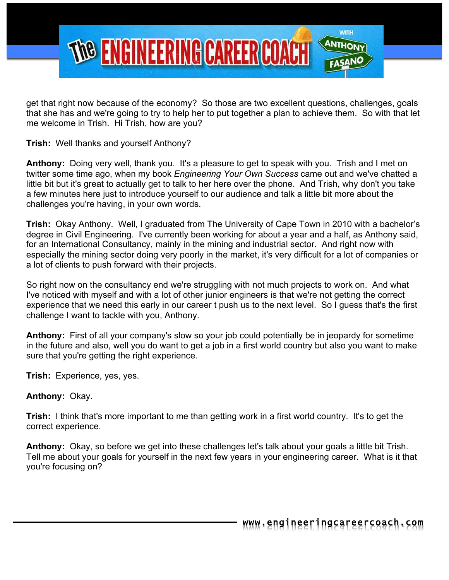

get that right now because of the economy? So those are two excellent questions, challenges, goals that she has and we're going to try to help her to put together a plan to achieve them. So with that let me welcome in Trish. Hi Trish, how are you?

**Trish:** Well thanks and yourself Anthony?

**Anthony:** Doing very well, thank you. It's a pleasure to get to speak with you. Trish and I met on twitter some time ago, when my book *Engineering Your Own Success* came out and we've chatted a little bit but it's great to actually get to talk to her here over the phone. And Trish, why don't you take a few minutes here just to introduce yourself to our audience and talk a little bit more about the challenges you're having, in your own words.

**Trish:** Okay Anthony. Well, I graduated from The University of Cape Town in 2010 with a bachelor's degree in Civil Engineering. I've currently been working for about a year and a half, as Anthony said, for an International Consultancy, mainly in the mining and industrial sector. And right now with especially the mining sector doing very poorly in the market, it's very difficult for a lot of companies or a lot of clients to push forward with their projects.

So right now on the consultancy end we're struggling with not much projects to work on. And what I've noticed with myself and with a lot of other junior engineers is that we're not getting the correct experience that we need this early in our career t push us to the next level. So I guess that's the first challenge I want to tackle with you, Anthony.

**Anthony:** First of all your company's slow so your job could potentially be in jeopardy for sometime in the future and also, well you do want to get a job in a first world country but also you want to make sure that you're getting the right experience.

**Trish:** Experience, yes, yes.

## **Anthony:** Okay.

**Trish:** I think that's more important to me than getting work in a first world country. It's to get the correct experience.

**Anthony:** Okay, so before we get into these challenges let's talk about your goals a little bit Trish. Tell me about your goals for yourself in the next few years in your engineering career. What is it that you're focusing on?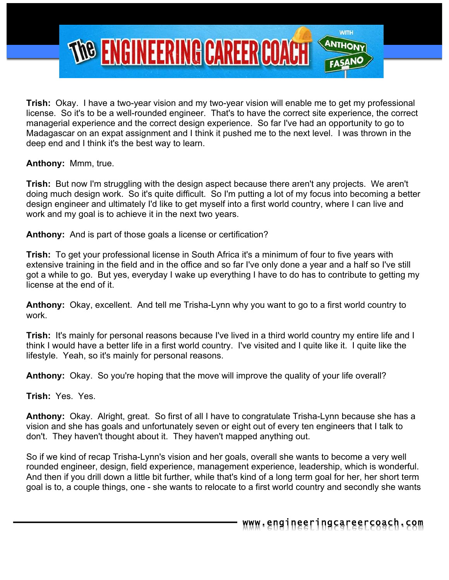

**Trish:** Okay. I have a two-year vision and my two-year vision will enable me to get my professional license. So it's to be a well-rounded engineer. That's to have the correct site experience, the correct managerial experience and the correct design experience. So far I've had an opportunity to go to Madagascar on an expat assignment and I think it pushed me to the next level. I was thrown in the deep end and I think it's the best way to learn.

**Anthony:** Mmm, true.

**Trish:** But now I'm struggling with the design aspect because there aren't any projects. We aren't doing much design work. So it's quite difficult. So I'm putting a lot of my focus into becoming a better design engineer and ultimately I'd like to get myself into a first world country, where I can live and work and my goal is to achieve it in the next two years.

**Anthony:** And is part of those goals a license or certification?

**Trish:** To get your professional license in South Africa it's a minimum of four to five years with extensive training in the field and in the office and so far I've only done a year and a half so I've still got a while to go. But yes, everyday I wake up everything I have to do has to contribute to getting my license at the end of it.

**Anthony:** Okay, excellent. And tell me Trisha-Lynn why you want to go to a first world country to work.

**Trish:** It's mainly for personal reasons because I've lived in a third world country my entire life and I think I would have a better life in a first world country. I've visited and I quite like it. I quite like the lifestyle. Yeah, so it's mainly for personal reasons.

**Anthony:** Okay. So you're hoping that the move will improve the quality of your life overall?

**Trish:** Yes. Yes.

**Anthony:** Okay. Alright, great. So first of all I have to congratulate Trisha-Lynn because she has a vision and she has goals and unfortunately seven or eight out of every ten engineers that I talk to don't. They haven't thought about it. They haven't mapped anything out.

So if we kind of recap Trisha-Lynn's vision and her goals, overall she wants to become a very well rounded engineer, design, field experience, management experience, leadership, which is wonderful. And then if you drill down a little bit further, while that's kind of a long term goal for her, her short term goal is to, a couple things, one - she wants to relocate to a first world country and secondly she wants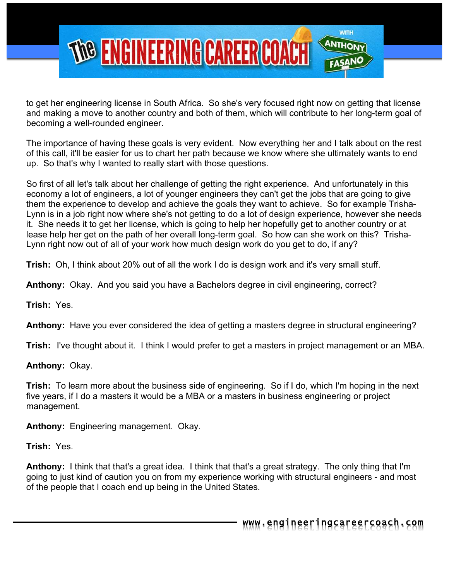

to get her engineering license in South Africa. So she's very focused right now on getting that license and making a move to another country and both of them, which will contribute to her long-term goal of becoming a well-rounded engineer.

The importance of having these goals is very evident. Now everything her and I talk about on the rest of this call, it'll be easier for us to chart her path because we know where she ultimately wants to end up. So that's why I wanted to really start with those questions.

So first of all let's talk about her challenge of getting the right experience. And unfortunately in this economy a lot of engineers, a lot of younger engineers they can't get the jobs that are going to give them the experience to develop and achieve the goals they want to achieve. So for example Trisha-Lynn is in a job right now where she's not getting to do a lot of design experience, however she needs it. She needs it to get her license, which is going to help her hopefully get to another country or at lease help her get on the path of her overall long-term goal. So how can she work on this? Trisha-Lynn right now out of all of your work how much design work do you get to do, if any?

**Trish:** Oh, I think about 20% out of all the work I do is design work and it's very small stuff.

**Anthony:** Okay. And you said you have a Bachelors degree in civil engineering, correct?

**Trish:** Yes.

**Anthony:** Have you ever considered the idea of getting a masters degree in structural engineering?

**Trish:** I've thought about it. I think I would prefer to get a masters in project management or an MBA.

**Anthony:** Okay.

**Trish:** To learn more about the business side of engineering. So if I do, which I'm hoping in the next five years, if I do a masters it would be a MBA or a masters in business engineering or project management.

**Anthony:** Engineering management. Okay.

**Trish:** Yes.

**Anthony:** I think that that's a great idea. I think that that's a great strategy. The only thing that I'm going to just kind of caution you on from my experience working with structural engineers - and most of the people that I coach end up being in the United States.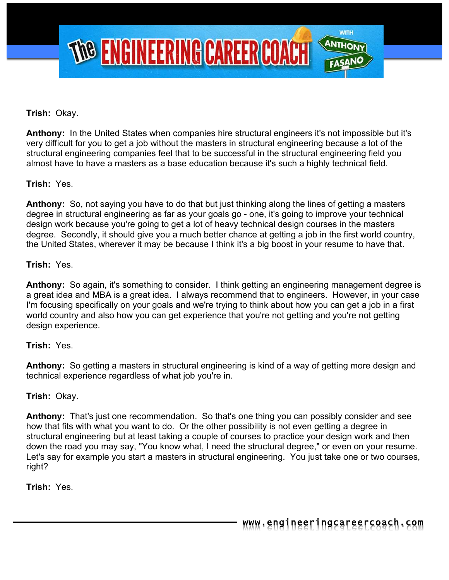

## **Trish:** Okay.

**Anthony:** In the United States when companies hire structural engineers it's not impossible but it's very difficult for you to get a job without the masters in structural engineering because a lot of the structural engineering companies feel that to be successful in the structural engineering field you almost have to have a masters as a base education because it's such a highly technical field.

## **Trish:** Yes.

**Anthony:** So, not saying you have to do that but just thinking along the lines of getting a masters degree in structural engineering as far as your goals go - one, it's going to improve your technical design work because you're going to get a lot of heavy technical design courses in the masters degree. Secondly, it should give you a much better chance at getting a job in the first world country, the United States, wherever it may be because I think it's a big boost in your resume to have that.

#### **Trish:** Yes.

**Anthony:** So again, it's something to consider. I think getting an engineering management degree is a great idea and MBA is a great idea. I always recommend that to engineers. However, in your case I'm focusing specifically on your goals and we're trying to think about how you can get a job in a first world country and also how you can get experience that you're not getting and you're not getting design experience.

#### **Trish:** Yes.

**Anthony:** So getting a masters in structural engineering is kind of a way of getting more design and technical experience regardless of what job you're in.

#### **Trish:** Okay.

**Anthony:** That's just one recommendation. So that's one thing you can possibly consider and see how that fits with what you want to do. Or the other possibility is not even getting a degree in structural engineering but at least taking a couple of courses to practice your design work and then down the road you may say, "You know what, I need the structural degree," or even on your resume. Let's say for example you start a masters in structural engineering. You just take one or two courses, right?

**Trish:** Yes.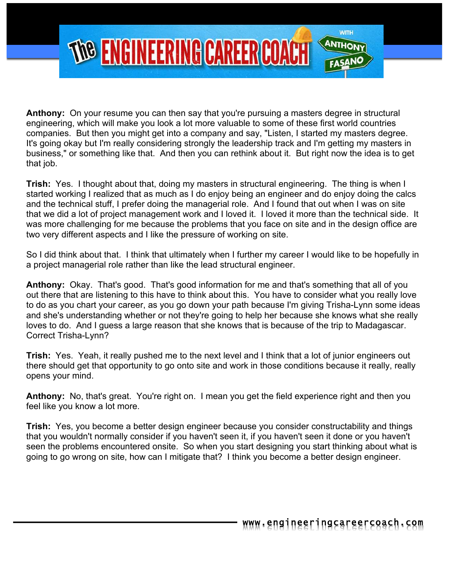

**Anthony:** On your resume you can then say that you're pursuing a masters degree in structural engineering, which will make you look a lot more valuable to some of these first world countries companies. But then you might get into a company and say, "Listen, I started my masters degree. It's going okay but I'm really considering strongly the leadership track and I'm getting my masters in business," or something like that. And then you can rethink about it. But right now the idea is to get that job.

**Trish:** Yes. I thought about that, doing my masters in structural engineering. The thing is when I started working I realized that as much as I do enjoy being an engineer and do enjoy doing the calcs and the technical stuff, I prefer doing the managerial role. And I found that out when I was on site that we did a lot of project management work and I loved it. I loved it more than the technical side. It was more challenging for me because the problems that you face on site and in the design office are two very different aspects and I like the pressure of working on site.

So I did think about that. I think that ultimately when I further my career I would like to be hopefully in a project managerial role rather than like the lead structural engineer.

**Anthony:** Okay. That's good. That's good information for me and that's something that all of you out there that are listening to this have to think about this. You have to consider what you really love to do as you chart your career, as you go down your path because I'm giving Trisha-Lynn some ideas and she's understanding whether or not they're going to help her because she knows what she really loves to do. And I guess a large reason that she knows that is because of the trip to Madagascar. Correct Trisha-Lynn?

**Trish:** Yes. Yeah, it really pushed me to the next level and I think that a lot of junior engineers out there should get that opportunity to go onto site and work in those conditions because it really, really opens your mind.

**Anthony:** No, that's great. You're right on. I mean you get the field experience right and then you feel like you know a lot more.

**Trish:** Yes, you become a better design engineer because you consider constructability and things that you wouldn't normally consider if you haven't seen it, if you haven't seen it done or you haven't seen the problems encountered onsite. So when you start designing you start thinking about what is going to go wrong on site, how can I mitigate that? I think you become a better design engineer.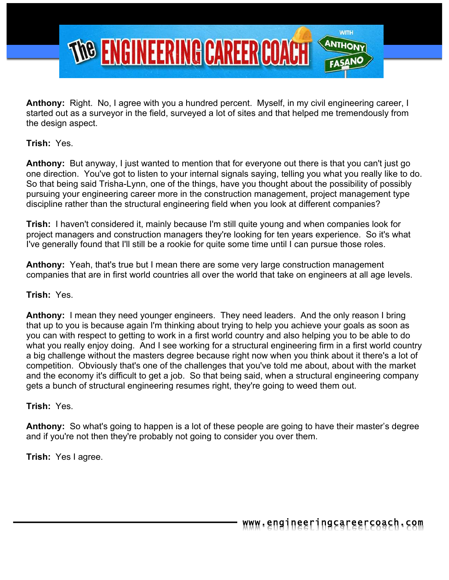

**Anthony:** Right. No, I agree with you a hundred percent. Myself, in my civil engineering career, I started out as a surveyor in the field, surveyed a lot of sites and that helped me tremendously from the design aspect.

**Trish:** Yes.

**Anthony:** But anyway, I just wanted to mention that for everyone out there is that you can't just go one direction. You've got to listen to your internal signals saying, telling you what you really like to do. So that being said Trisha-Lynn, one of the things, have you thought about the possibility of possibly pursuing your engineering career more in the construction management, project management type discipline rather than the structural engineering field when you look at different companies?

**Trish:** I haven't considered it, mainly because I'm still quite young and when companies look for project managers and construction managers they're looking for ten years experience. So it's what I've generally found that I'll still be a rookie for quite some time until I can pursue those roles.

**Anthony:** Yeah, that's true but I mean there are some very large construction management companies that are in first world countries all over the world that take on engineers at all age levels.

## **Trish:** Yes.

**Anthony:** I mean they need younger engineers. They need leaders. And the only reason I bring that up to you is because again I'm thinking about trying to help you achieve your goals as soon as you can with respect to getting to work in a first world country and also helping you to be able to do what you really enjoy doing. And I see working for a structural engineering firm in a first world country a big challenge without the masters degree because right now when you think about it there's a lot of competition. Obviously that's one of the challenges that you've told me about, about with the market and the economy it's difficult to get a job. So that being said, when a structural engineering company gets a bunch of structural engineering resumes right, they're going to weed them out.

**Trish:** Yes.

**Anthony:** So what's going to happen is a lot of these people are going to have their master's degree and if you're not then they're probably not going to consider you over them.

**Trish:** Yes I agree.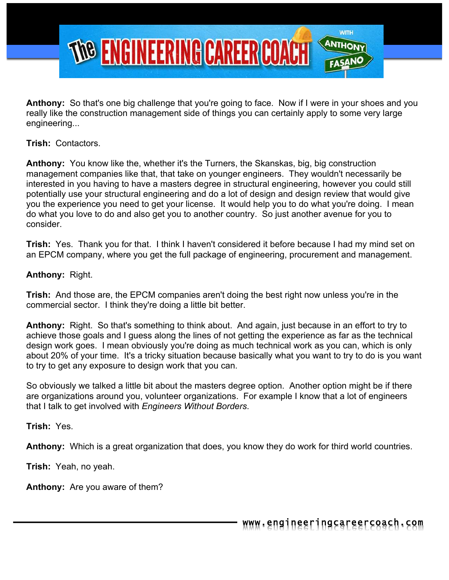

**Anthony:** So that's one big challenge that you're going to face. Now if I were in your shoes and you really like the construction management side of things you can certainly apply to some very large engineering...

**Trish:** Contactors.

**Anthony:** You know like the, whether it's the Turners, the Skanskas, big, big construction management companies like that, that take on younger engineers. They wouldn't necessarily be interested in you having to have a masters degree in structural engineering, however you could still potentially use your structural engineering and do a lot of design and design review that would give you the experience you need to get your license. It would help you to do what you're doing. I mean do what you love to do and also get you to another country. So just another avenue for you to consider.

**Trish:** Yes. Thank you for that. I think I haven't considered it before because I had my mind set on an EPCM company, where you get the full package of engineering, procurement and management.

## **Anthony:** Right.

**Trish:** And those are, the EPCM companies aren't doing the best right now unless you're in the commercial sector. I think they're doing a little bit better.

**Anthony:** Right. So that's something to think about. And again, just because in an effort to try to achieve those goals and I guess along the lines of not getting the experience as far as the technical design work goes. I mean obviously you're doing as much technical work as you can, which is only about 20% of your time. It's a tricky situation because basically what you want to try to do is you want to try to get any exposure to design work that you can.

So obviously we talked a little bit about the masters degree option. Another option might be if there are organizations around you, volunteer organizations. For example I know that a lot of engineers that I talk to get involved with *Engineers Without Borders*.

**Trish:** Yes.

**Anthony:** Which is a great organization that does, you know they do work for third world countries.

**Trish:** Yeah, no yeah.

**Anthony:** Are you aware of them?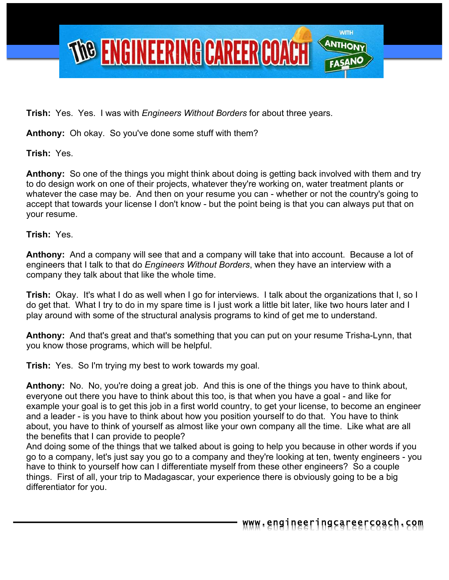

**Trish:** Yes. Yes. I was with *Engineers Without Borders* for about three years.

**Anthony:** Oh okay. So you've done some stuff with them?

**Trish:** Yes.

**Anthony:** So one of the things you might think about doing is getting back involved with them and try to do design work on one of their projects, whatever they're working on, water treatment plants or whatever the case may be. And then on your resume you can - whether or not the country's going to accept that towards your license I don't know - but the point being is that you can always put that on your resume.

**Trish:** Yes.

**Anthony:** And a company will see that and a company will take that into account. Because a lot of engineers that I talk to that do *Engineers Without Borders*, when they have an interview with a company they talk about that like the whole time.

**Trish:** Okay. It's what I do as well when I go for interviews. I talk about the organizations that I, so I do get that. What I try to do in my spare time is I just work a little bit later, like two hours later and I play around with some of the structural analysis programs to kind of get me to understand.

**Anthony:** And that's great and that's something that you can put on your resume Trisha-Lynn, that you know those programs, which will be helpful.

**Trish:** Yes. So I'm trying my best to work towards my goal.

**Anthony:** No. No, you're doing a great job. And this is one of the things you have to think about, everyone out there you have to think about this too, is that when you have a goal - and like for example your goal is to get this job in a first world country, to get your license, to become an engineer and a leader - is you have to think about how you position yourself to do that. You have to think about, you have to think of yourself as almost like your own company all the time. Like what are all the benefits that I can provide to people?

And doing some of the things that we talked about is going to help you because in other words if you go to a company, let's just say you go to a company and they're looking at ten, twenty engineers - you have to think to yourself how can I differentiate myself from these other engineers? So a couple things. First of all, your trip to Madagascar, your experience there is obviously going to be a big differentiator for you.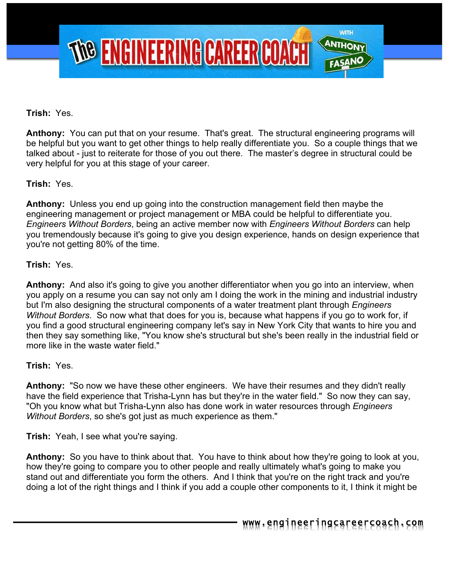

## **Trish:** Yes.

**Anthony:** You can put that on your resume. That's great. The structural engineering programs will be helpful but you want to get other things to help really differentiate you. So a couple things that we talked about - just to reiterate for those of you out there. The master's degree in structural could be very helpful for you at this stage of your career.

## **Trish:** Yes.

**Anthony:** Unless you end up going into the construction management field then maybe the engineering management or project management or MBA could be helpful to differentiate you. *Engineers Without Borders*, being an active member now with *Engineers Without Borders* can help you tremendously because it's going to give you design experience, hands on design experience that you're not getting 80% of the time.

#### **Trish:** Yes.

**Anthony:** And also it's going to give you another differentiator when you go into an interview, when you apply on a resume you can say not only am I doing the work in the mining and industrial industry but I'm also designing the structural components of a water treatment plant through *Engineers Without Borders*. So now what that does for you is, because what happens if you go to work for, if you find a good structural engineering company let's say in New York City that wants to hire you and then they say something like, "You know she's structural but she's been really in the industrial field or more like in the waste water field."

#### **Trish:** Yes.

**Anthony:** "So now we have these other engineers. We have their resumes and they didn't really have the field experience that Trisha-Lynn has but they're in the water field." So now they can say, "Oh you know what but Trisha-Lynn also has done work in water resources through *Engineers Without Borders*, so she's got just as much experience as them."

**Trish:** Yeah, I see what you're saying.

**Anthony:** So you have to think about that. You have to think about how they're going to look at you, how they're going to compare you to other people and really ultimately what's going to make you stand out and differentiate you form the others. And I think that you're on the right track and you're doing a lot of the right things and I think if you add a couple other components to it, I think it might be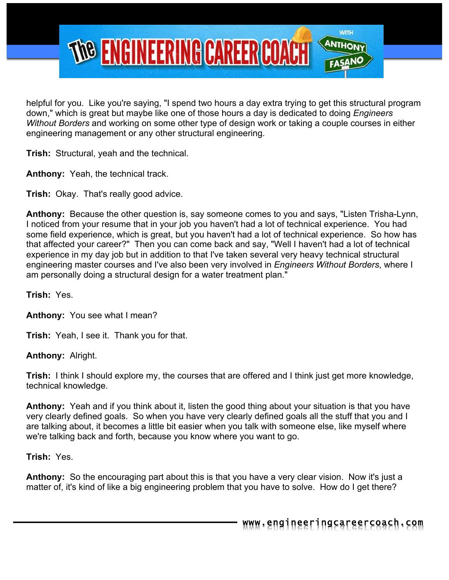

helpful for you. Like you're saying, "I spend two hours a day extra trying to get this structural program down," which is great but maybe like one of those hours a day is dedicated to doing *Engineers Without Borders* and working on some other type of design work or taking a couple courses in either engineering management or any other structural engineering.

**Trish:** Structural, yeah and the technical.

**Anthony:** Yeah, the technical track.

**Trish:** Okay. That's really good advice.

**Anthony:** Because the other question is, say someone comes to you and says, "Listen Trisha-Lynn, I noticed from your resume that in your job you haven't had a lot of technical experience. You had some field experience, which is great, but you haven't had a lot of technical experience. So how has that affected your career?" Then you can come back and say, "Well I haven't had a lot of technical experience in my day job but in addition to that I've taken several very heavy technical structural engineering master courses and I've also been very involved in *Engineers Without Borders*, where I am personally doing a structural design for a water treatment plan."

**Trish:** Yes.

**Anthony:** You see what I mean?

**Trish:** Yeah, I see it. Thank you for that.

**Anthony:** Alright.

**Trish:** I think I should explore my, the courses that are offered and I think just get more knowledge, technical knowledge.

**Anthony:** Yeah and if you think about it, listen the good thing about your situation is that you have very clearly defined goals. So when you have very clearly defined goals all the stuff that you and I are talking about, it becomes a little bit easier when you talk with someone else, like myself where we're talking back and forth, because you know where you want to go.

**Trish:** Yes.

**Anthony:** So the encouraging part about this is that you have a very clear vision. Now it's just a matter of, it's kind of like a big engineering problem that you have to solve. How do I get there?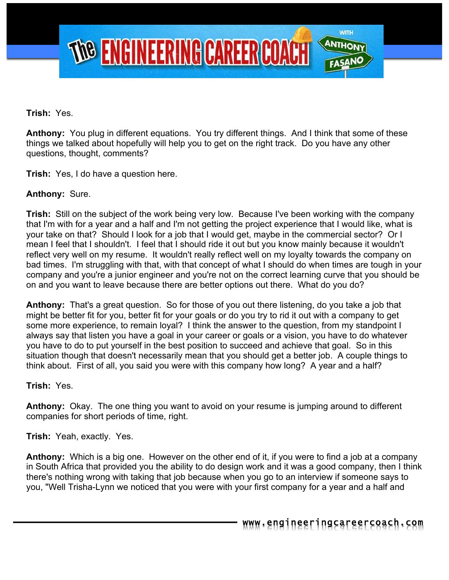

**Trish:** Yes.

**Anthony:** You plug in different equations. You try different things. And I think that some of these things we talked about hopefully will help you to get on the right track. Do you have any other questions, thought, comments?

**Trish:** Yes, I do have a question here.

## **Anthony:** Sure.

**Trish:** Still on the subject of the work being very low. Because I've been working with the company that I'm with for a year and a half and I'm not getting the project experience that I would like, what is your take on that? Should I look for a job that I would get, maybe in the commercial sector? Or I mean I feel that I shouldn't. I feel that I should ride it out but you know mainly because it wouldn't reflect very well on my resume. It wouldn't really reflect well on my loyalty towards the company on bad times. I'm struggling with that, with that concept of what I should do when times are tough in your company and you're a junior engineer and you're not on the correct learning curve that you should be on and you want to leave because there are better options out there. What do you do?

**Anthony:** That's a great question. So for those of you out there listening, do you take a job that might be better fit for you, better fit for your goals or do you try to rid it out with a company to get some more experience, to remain loyal? I think the answer to the question, from my standpoint I always say that listen you have a goal in your career or goals or a vision, you have to do whatever you have to do to put yourself in the best position to succeed and achieve that goal. So in this situation though that doesn't necessarily mean that you should get a better job. A couple things to think about. First of all, you said you were with this company how long? A year and a half?

#### **Trish:** Yes.

**Anthony:** Okay. The one thing you want to avoid on your resume is jumping around to different companies for short periods of time, right.

**Trish:** Yeah, exactly. Yes.

**Anthony:** Which is a big one. However on the other end of it, if you were to find a job at a company in South Africa that provided you the ability to do design work and it was a good company, then I think there's nothing wrong with taking that job because when you go to an interview if someone says to you, "Well Trisha-Lynn we noticed that you were with your first company for a year and a half and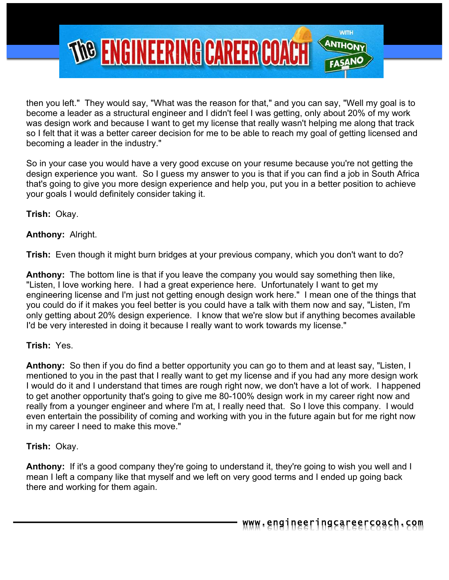

then you left." They would say, "What was the reason for that," and you can say, "Well my goal is to become a leader as a structural engineer and I didn't feel I was getting, only about 20% of my work was design work and because I want to get my license that really wasn't helping me along that track so I felt that it was a better career decision for me to be able to reach my goal of getting licensed and becoming a leader in the industry."

So in your case you would have a very good excuse on your resume because you're not getting the design experience you want. So I guess my answer to you is that if you can find a job in South Africa that's going to give you more design experience and help you, put you in a better position to achieve your goals I would definitely consider taking it.

**Trish:** Okay.

**Anthony:** Alright.

**Trish:** Even though it might burn bridges at your previous company, which you don't want to do?

**Anthony:** The bottom line is that if you leave the company you would say something then like, "Listen, I love working here. I had a great experience here. Unfortunately I want to get my engineering license and I'm just not getting enough design work here." I mean one of the things that you could do if it makes you feel better is you could have a talk with them now and say, "Listen, I'm only getting about 20% design experience. I know that we're slow but if anything becomes available I'd be very interested in doing it because I really want to work towards my license."

## **Trish:** Yes.

**Anthony:** So then if you do find a better opportunity you can go to them and at least say, "Listen, I mentioned to you in the past that I really want to get my license and if you had any more design work I would do it and I understand that times are rough right now, we don't have a lot of work. I happened to get another opportunity that's going to give me 80-100% design work in my career right now and really from a younger engineer and where I'm at, I really need that. So I love this company. I would even entertain the possibility of coming and working with you in the future again but for me right now in my career I need to make this move."

## **Trish:** Okay.

**Anthony:** If it's a good company they're going to understand it, they're going to wish you well and I mean I left a company like that myself and we left on very good terms and I ended up going back there and working for them again.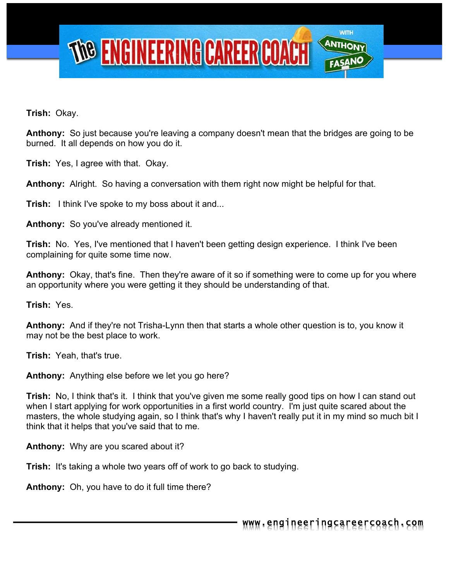

**Trish:** Okay.

**Anthony:** So just because you're leaving a company doesn't mean that the bridges are going to be burned. It all depends on how you do it.

**Trish:** Yes, I agree with that. Okay.

**Anthony:** Alright. So having a conversation with them right now might be helpful for that.

**Trish:** I think I've spoke to my boss about it and...

**Anthony:** So you've already mentioned it.

**Trish:** No. Yes, I've mentioned that I haven't been getting design experience. I think I've been complaining for quite some time now.

**Anthony:** Okay, that's fine. Then they're aware of it so if something were to come up for you where an opportunity where you were getting it they should be understanding of that.

**Trish:** Yes.

**Anthony:** And if they're not Trisha-Lynn then that starts a whole other question is to, you know it may not be the best place to work.

**Trish:** Yeah, that's true.

**Anthony:** Anything else before we let you go here?

**Trish:** No, I think that's it. I think that you've given me some really good tips on how I can stand out when I start applying for work opportunities in a first world country. I'm just quite scared about the masters, the whole studying again, so I think that's why I haven't really put it in my mind so much bit I think that it helps that you've said that to me.

**Anthony:** Why are you scared about it?

**Trish:** It's taking a whole two years off of work to go back to studying.

**Anthony:** Oh, you have to do it full time there?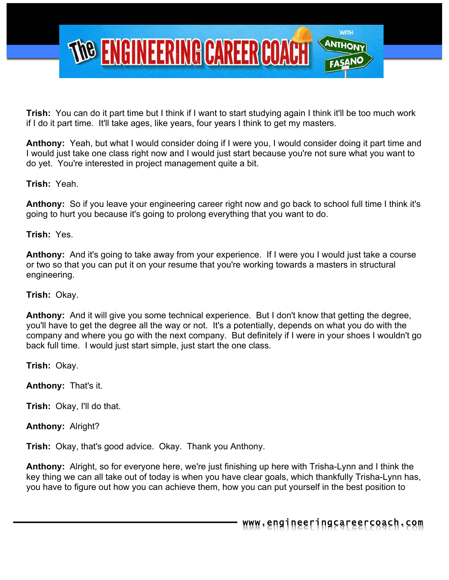

**Trish:** You can do it part time but I think if I want to start studying again I think it'll be too much work if I do it part time. It'll take ages, like years, four years I think to get my masters.

**Anthony:** Yeah, but what I would consider doing if I were you, I would consider doing it part time and I would just take one class right now and I would just start because you're not sure what you want to do yet. You're interested in project management quite a bit.

## **Trish:** Yeah.

**Anthony:** So if you leave your engineering career right now and go back to school full time I think it's going to hurt you because it's going to prolong everything that you want to do.

#### **Trish:** Yes.

**Anthony:** And it's going to take away from your experience. If I were you I would just take a course or two so that you can put it on your resume that you're working towards a masters in structural engineering.

#### **Trish:** Okay.

**Anthony:** And it will give you some technical experience. But I don't know that getting the degree, you'll have to get the degree all the way or not. It's a potentially, depends on what you do with the company and where you go with the next company. But definitely if I were in your shoes I wouldn't go back full time. I would just start simple, just start the one class.

**Trish:** Okay.

**Anthony:** That's it.

**Trish:** Okay, I'll do that.

**Anthony:** Alright?

**Trish:** Okay, that's good advice. Okay. Thank you Anthony.

**Anthony:** Alright, so for everyone here, we're just finishing up here with Trisha-Lynn and I think the key thing we can all take out of today is when you have clear goals, which thankfully Trisha-Lynn has, you have to figure out how you can achieve them, how you can put yourself in the best position to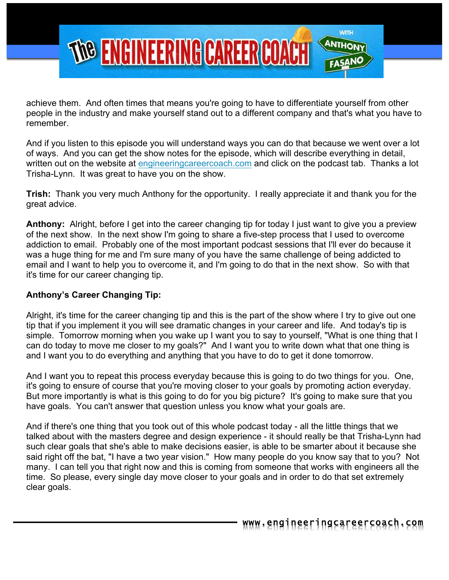

achieve them. And often times that means you're going to have to differentiate yourself from other people in the industry and make yourself stand out to a different company and that's what you have to remember.

And if you listen to this episode you will understand ways you can do that because we went over a lot of ways. And you can get the show notes for the episode, which will describe everything in detail, written out on the website at engineeringcareercoach.com and click on the podcast tab. Thanks a lot Trisha-Lynn. It was great to have you on the show.

**Trish:** Thank you very much Anthony for the opportunity. I really appreciate it and thank you for the great advice.

**Anthony:** Alright, before I get into the career changing tip for today I just want to give you a preview of the next show. In the next show I'm going to share a five-step process that I used to overcome addiction to email. Probably one of the most important podcast sessions that I'll ever do because it was a huge thing for me and I'm sure many of you have the same challenge of being addicted to email and I want to help you to overcome it, and I'm going to do that in the next show. So with that it's time for our career changing tip.

## **Anthony's Career Changing Tip:**

Alright, it's time for the career changing tip and this is the part of the show where I try to give out one tip that if you implement it you will see dramatic changes in your career and life. And today's tip is simple. Tomorrow morning when you wake up I want you to say to yourself, "What is one thing that I can do today to move me closer to my goals?" And I want you to write down what that one thing is and I want you to do everything and anything that you have to do to get it done tomorrow.

And I want you to repeat this process everyday because this is going to do two things for you. One, it's going to ensure of course that you're moving closer to your goals by promoting action everyday. But more importantly is what is this going to do for you big picture? It's going to make sure that you have goals. You can't answer that question unless you know what your goals are.

And if there's one thing that you took out of this whole podcast today - all the little things that we talked about with the masters degree and design experience - it should really be that Trisha-Lynn had such clear goals that she's able to make decisions easier, is able to be smarter about it because she said right off the bat, "I have a two year vision." How many people do you know say that to you? Not many. I can tell you that right now and this is coming from someone that works with engineers all the time. So please, every single day move closer to your goals and in order to do that set extremely clear goals.